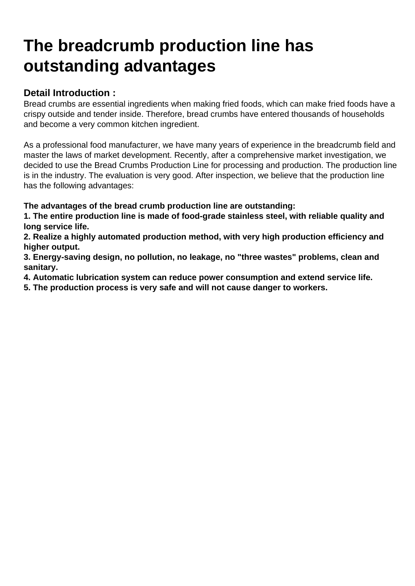## [The breadcrumb production line has](https://www.foodmachineryint.com/blog/the-breadcrumb-production-line-has-outstanding-advantages.html) outstanding advantages

Detail Introduction :

Bread crumbs are essential ingredients when making fried foods, which can make fried foods have a crispy outside and tender inside. Therefore, bread crumbs have entered thousands of households and become a very common kitchen ingredient.

As a professional food manufacturer, we have many years of experience in the breadcrumb field and master the laws of market development. Recently, after a comprehensive market investigation, we decided to use the Bread Crumbs Production Line for processing and production. The production line is in the industry. The evaluation is very good. After inspection, we believe that the production line has the following advantages:

The advantages of the bread crumb production line are outstanding:

1. The entire production line is made of food-grade stainless steel, with reliable quality and long service life.

2. Realize a highly automated production method, with very high production efficiency and higher output.

3. Energy-saving design, no pollution, no leakage, no "three wastes" problems, clean and sanitary.

4. Automatic lubrication system can reduce power consumption and extend service life.

5. The production process is very safe and will not cause danger to workers.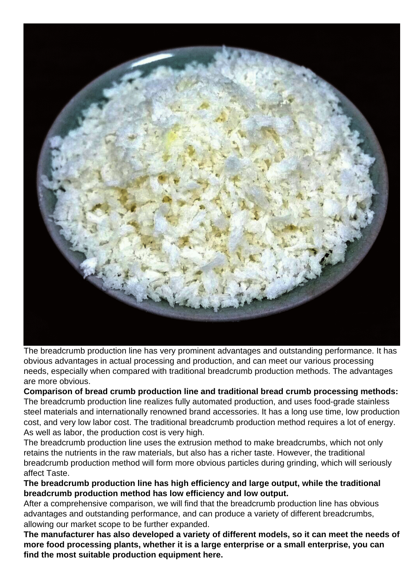

The breadcrumb production line has very prominent advantages and outstanding performance. It has obvious advantages in actual processing and production, and can meet our various processing needs, especially when compared with traditional breadcrumb production methods. The advantages are more obvious.

**Comparison of bread crumb production line and traditional bread crumb processing methods:** The breadcrumb production line realizes fully automated production, and uses food-grade stainless steel materials and internationally renowned brand accessories. It has a long use time, low production cost, and very low labor cost. The traditional breadcrumb production method requires a lot of energy. As well as labor, the production cost is very high.

The breadcrumb production line uses the extrusion method to make breadcrumbs, which not only retains the nutrients in the raw materials, but also has a richer taste. However, the traditional breadcrumb production method will form more obvious particles during grinding, which will seriously affect Taste.

**The breadcrumb production line has high efficiency and large output, while the traditional breadcrumb production method has low efficiency and low output.**

After a comprehensive comparison, we will find that the breadcrumb production line has obvious advantages and outstanding performance, and can produce a variety of different breadcrumbs, allowing our market scope to be further expanded.

**The manufacturer has also developed a variety of different models, so it can meet the needs of more food processing plants, whether it is a large enterprise or a small enterprise, you can find the most suitable production equipment here.**